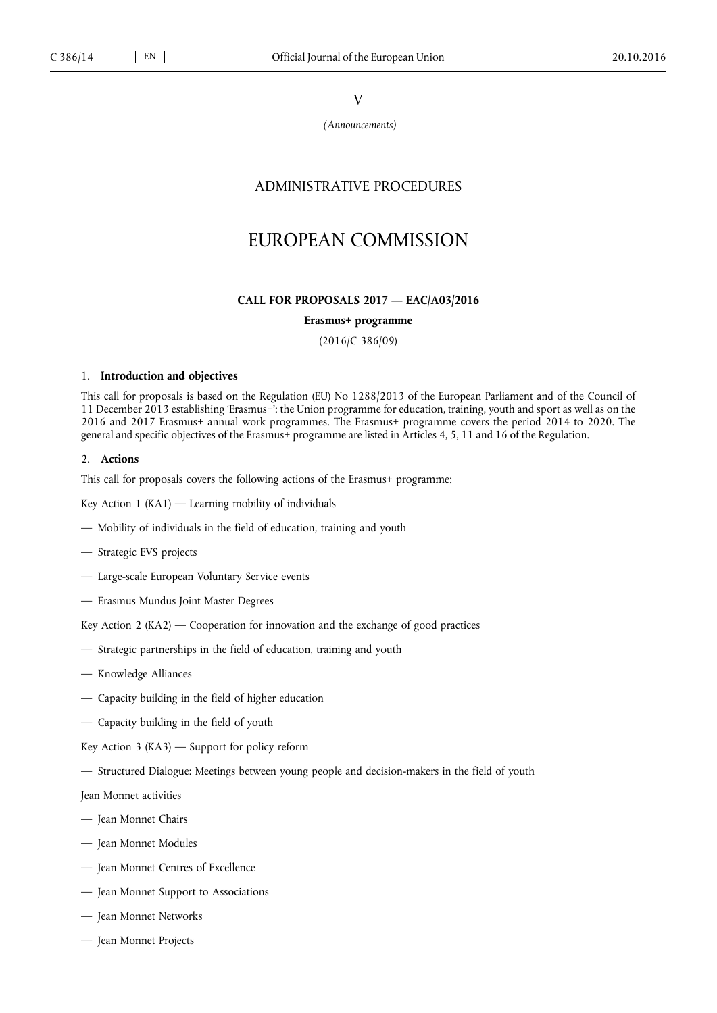V

*(Announcements)*

# ADMINISTRATIVE PROCEDURES

# EUROPEAN COMMISSION

#### **CALL FOR PROPOSALS 2017 — EAC/A03/2016**

### **Erasmus+ programme**

(2016/C 386/09)

#### 1. **Introduction and objectives**

This call for proposals is based on the Regulation (EU) No 1288/2013 of the European Parliament and of the Council of 11 December 2013 establishing 'Erasmus+': the Union programme for education, training, youth and sport as well as on the 2016 and 2017 Erasmus+ annual work programmes. The Erasmus+ programme covers the period 2014 to 2020. The general and specific objectives of the Erasmus+ programme are listed in Articles 4, 5, 11 and 16 of the Regulation.

#### 2. **Actions**

This call for proposals covers the following actions of the Erasmus+ programme:

Key Action 1 (KA1) — Learning mobility of individuals

- Mobility of individuals in the field of education, training and youth
- Strategic EVS projects
- Large-scale European Voluntary Service events
- Erasmus Mundus Joint Master Degrees
- Key Action 2 (KA2) Cooperation for innovation and the exchange of good practices
- Strategic partnerships in the field of education, training and youth
- Knowledge Alliances
- Capacity building in the field of higher education
- Capacity building in the field of youth
- Key Action 3 (KA3)  $-$  Support for policy reform
- Structured Dialogue: Meetings between young people and decision-makers in the field of youth

Jean Monnet activities

- Jean Monnet Chairs
- Jean Monnet Modules
- Jean Monnet Centres of Excellence
- Jean Monnet Support to Associations
- Jean Monnet Networks
- Jean Monnet Projects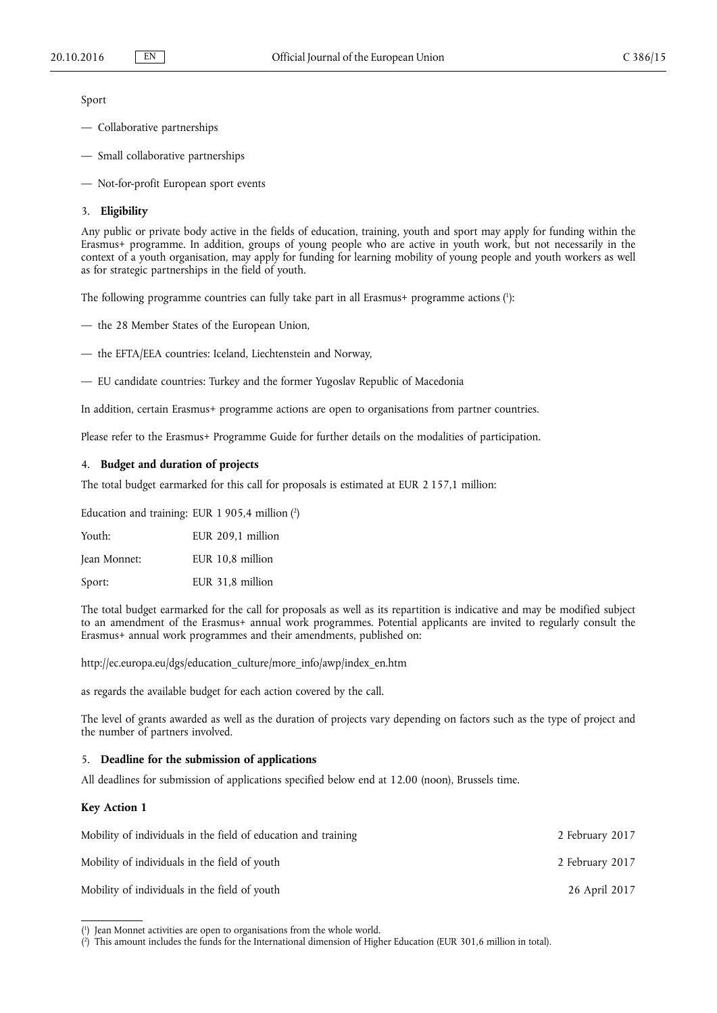Sport

- Collaborative partnerships
- Small collaborative partnerships
- Not-for-profit European sport events

#### 3. **Eligibility**

Any public or private body active in the fields of education, training, youth and sport may apply for funding within the Erasmus+ programme. In addition, groups of young people who are active in youth work, but not necessarily in the context of a youth organisation, may apply for funding for learning mobility of young people and youth workers as well as for strategic partnerships in the field of youth.

The following programme countries can fully take part in all Erasmus+ programme actions ( 1 ):

— the 28 Member States of the European Union,

- the EFTA/EEA countries: Iceland, Liechtenstein and Norway,
- EU candidate countries: Turkey and the former Yugoslav Republic of Macedonia

In addition, certain Erasmus+ programme actions are open to organisations from partner countries.

Please refer to the Erasmus+ Programme Guide for further details on the modalities of participation.

## 4. **Budget and duration of projects**

The total budget earmarked for this call for proposals is estimated at EUR 2 157,1 million:

Education and training: EUR 1 905,4 million  $(2)$ 

Youth: EUR 209,1 million

Jean Monnet: EUR 10,8 million

Sport: EUR 31,8 million

The total budget earmarked for the call for proposals as well as its repartition is indicative and may be modified subject to an amendment of the Erasmus+ annual work programmes. Potential applicants are invited to regularly consult the Erasmus+ annual work programmes and their amendments, published on:

[http://ec.europa.eu/dgs/education\\_culture/more\\_info/awp/index\\_en.htm](http://ec.europa.eu/dgs/education_culture/more_info/awp/index_en.htm)

as regards the available budget for each action covered by the call.

The level of grants awarded as well as the duration of projects vary depending on factors such as the type of project and the number of partners involved.

## 5. **Deadline for the submission of applications**

All deadlines for submission of applications specified below end at 12.00 (noon), Brussels time.

### **Key Action 1**

| Mobility of individuals in the field of education and training | 2 February 2017 |
|----------------------------------------------------------------|-----------------|
| Mobility of individuals in the field of youth                  | 2 February 2017 |
| Mobility of individuals in the field of youth                  | 26 April 2017   |

<sup>(</sup> 1 ) Jean Monnet activities are open to organisations from the whole world.

<sup>(</sup> 2 ) This amount includes the funds for the International dimension of Higher Education (EUR 301,6 million in total).